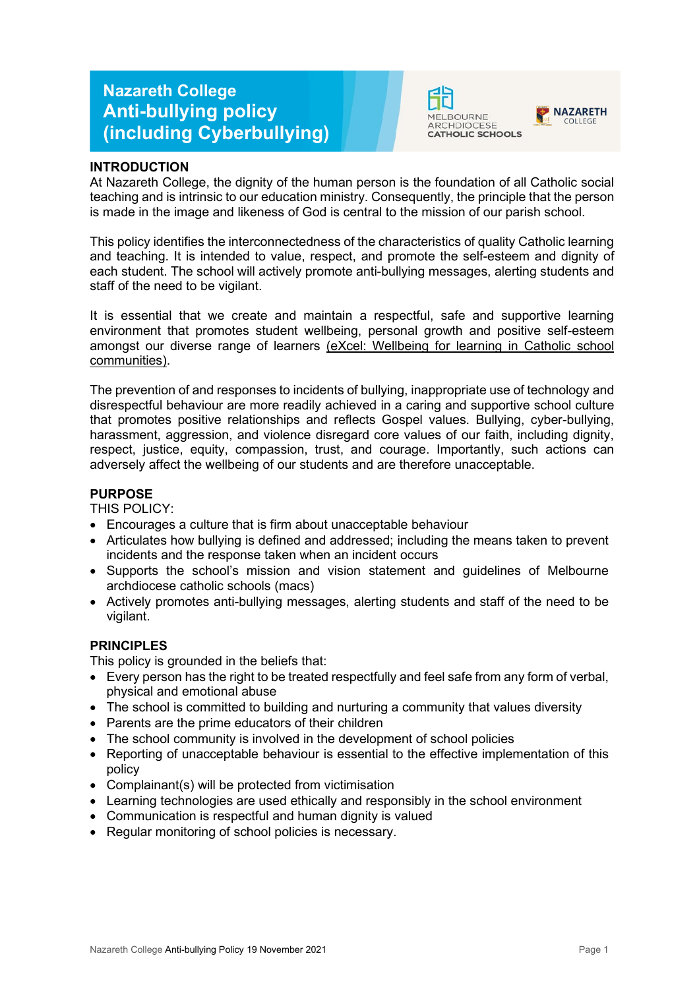# **Nazareth College Anti-bullying policy (including Cyberbullying)**





## **INTRODUCTION**

At Nazareth College, the dignity of the human person is the foundation of all Catholic social teaching and is intrinsic to our education ministry. Consequently, the principle that the person is made in the image and likeness of God is central to the mission of our parish school.

This policy identifies the interconnectedness of the characteristics of quality Catholic learning and teaching. It is intended to value, respect, and promote the self-esteem and dignity of each student. The school will actively promote anti-bullying messages, alerting students and staff of the need to be vigilant.

It is essential that we create and maintain a respectful, safe and supportive learning environment that promotes student wellbeing, personal growth and positive self-esteem amongst our diverse range of learners [\(eXcel: Wellbeing for learning in Catholic school](https://cevn.cecv.catholic.edu.au/Melb/Student-Support/Student-Wellbeing/eXcel#excel:-wellbeing-for-learning-in-catholic-school-communities)  [communities\)](https://cevn.cecv.catholic.edu.au/Melb/Student-Support/Student-Wellbeing/eXcel#excel:-wellbeing-for-learning-in-catholic-school-communities).

The prevention of and responses to incidents of bullying, inappropriate use of technology and disrespectful behaviour are more readily achieved in a caring and supportive school culture that promotes positive relationships and reflects Gospel values. Bullying, cyber-bullying, harassment, aggression, and violence disregard core values of our faith, including dignity, respect, justice, equity, compassion, trust, and courage. Importantly, such actions can adversely affect the wellbeing of our students and are therefore unacceptable.

### **PURPOSE**

THIS POLICY:

- Encourages a culture that is firm about unacceptable behaviour
- Articulates how bullying is defined and addressed; including the means taken to prevent incidents and the response taken when an incident occurs
- Supports the school's mission and vision statement and guidelines of Melbourne archdiocese catholic schools (macs)
- Actively promotes anti-bullying messages, alerting students and staff of the need to be vigilant.

## **PRINCIPLES**

This policy is grounded in the beliefs that:

- Every person has the right to be treated respectfully and feel safe from any form of verbal, physical and emotional abuse
- The school is committed to building and nurturing a community that values diversity
- Parents are the prime educators of their children
- The school community is involved in the development of school policies
- Reporting of unacceptable behaviour is essential to the effective implementation of this policy
- Complainant(s) will be protected from victimisation
- Learning technologies are used ethically and responsibly in the school environment
- Communication is respectful and human dignity is valued
- Regular monitoring of school policies is necessary.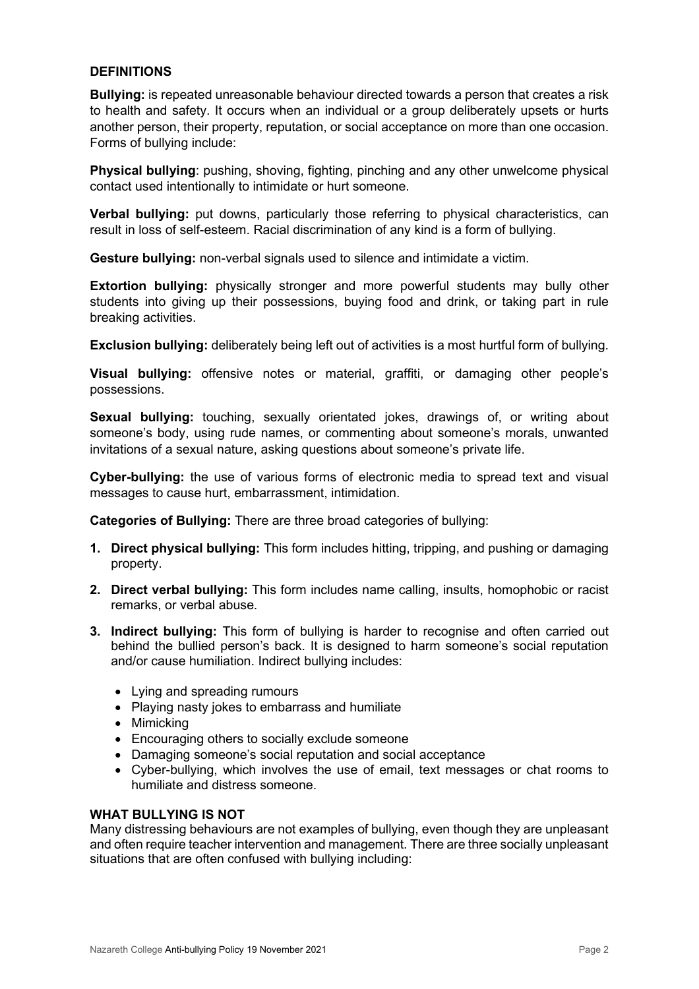## **DEFINITIONS**

**Bullying:** is repeated unreasonable behaviour directed towards a person that creates a risk to health and safety. It occurs when an individual or a group deliberately upsets or hurts another person, their property, reputation, or social acceptance on more than one occasion. Forms of bullying include:

**Physical bullying**: pushing, shoving, fighting, pinching and any other unwelcome physical contact used intentionally to intimidate or hurt someone.

**Verbal bullying:** put downs, particularly those referring to physical characteristics, can result in loss of self-esteem. Racial discrimination of any kind is a form of bullying.

**Gesture bullying:** non-verbal signals used to silence and intimidate a victim.

**Extortion bullying:** physically stronger and more powerful students may bully other students into giving up their possessions, buying food and drink, or taking part in rule breaking activities.

**Exclusion bullying:** deliberately being left out of activities is a most hurtful form of bullying.

**Visual bullying:** offensive notes or material, graffiti, or damaging other people's possessions.

**Sexual bullying:** touching, sexually orientated jokes, drawings of, or writing about someone's body, using rude names, or commenting about someone's morals, unwanted invitations of a sexual nature, asking questions about someone's private life.

**Cyber-bullying:** the use of various forms of electronic media to spread text and visual messages to cause hurt, embarrassment, intimidation.

**Categories of Bullying:** There are three broad categories of bullying:

- **1. Direct physical bullying:** This form includes hitting, tripping, and pushing or damaging property.
- **2. Direct verbal bullying:** This form includes name calling, insults, homophobic or racist remarks, or verbal abuse.
- **3. Indirect bullying:** This form of bullying is harder to recognise and often carried out behind the bullied person's back. It is designed to harm someone's social reputation and/or cause humiliation. Indirect bullying includes:
	- Lying and spreading rumours
	- Playing nasty jokes to embarrass and humiliate
	- Mimicking
	- Encouraging others to socially exclude someone
	- Damaging someone's social reputation and social acceptance
	- Cyber-bullying, which involves the use of email, text messages or chat rooms to humiliate and distress someone.

### **WHAT BULLYING IS NOT**

Many distressing behaviours are not examples of bullying, even though they are unpleasant and often require teacher intervention and management. There are three socially unpleasant situations that are often confused with bullying including: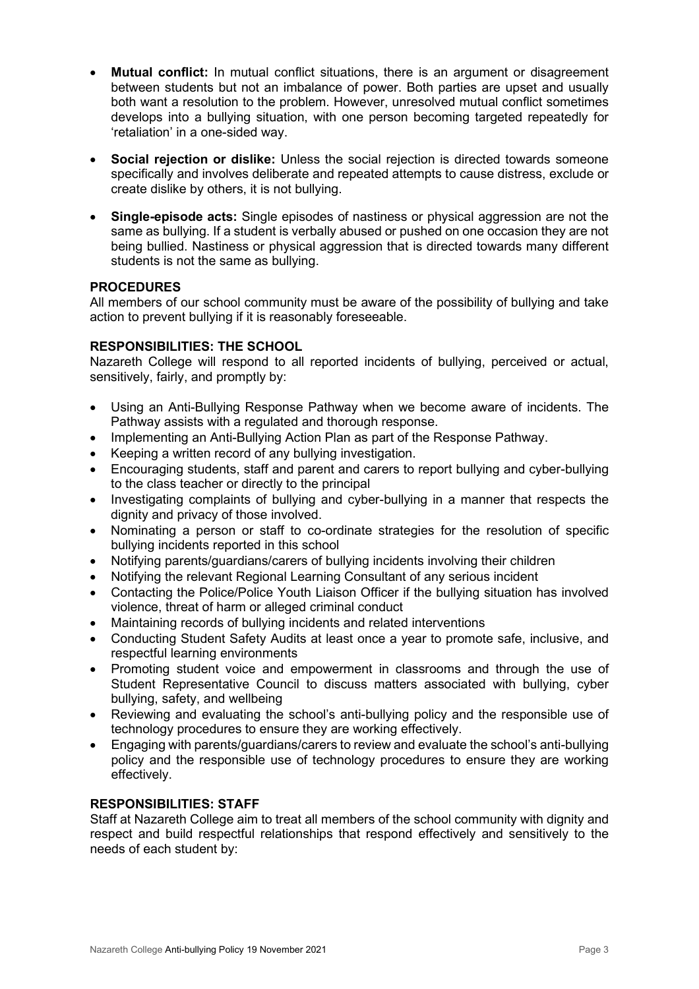- **Mutual conflict:** In mutual conflict situations, there is an argument or disagreement between students but not an imbalance of power. Both parties are upset and usually both want a resolution to the problem. However, unresolved mutual conflict sometimes develops into a bullying situation, with one person becoming targeted repeatedly for 'retaliation' in a one-sided way.
- **Social rejection or dislike:** Unless the social rejection is directed towards someone specifically and involves deliberate and repeated attempts to cause distress, exclude or create dislike by others, it is not bullying.
- **Single-episode acts:** Single episodes of nastiness or physical aggression are not the same as bullying. If a student is verbally abused or pushed on one occasion they are not being bullied. Nastiness or physical aggression that is directed towards many different students is not the same as bullying.

## **PROCEDURES**

All members of our school community must be aware of the possibility of bullying and take action to prevent bullying if it is reasonably foreseeable.

# **RESPONSIBILITIES: THE SCHOOL**

Nazareth College will respond to all reported incidents of bullying, perceived or actual, sensitively, fairly, and promptly by:

- Using an Anti-Bullying Response Pathway when we become aware of incidents. The Pathway assists with a regulated and thorough response.
- Implementing an Anti-Bullying Action Plan as part of the Response Pathway.
- Keeping a written record of any bullying investigation.
- Encouraging students, staff and parent and carers to report bullying and cyber-bullying to the class teacher or directly to the principal
- Investigating complaints of bullying and cyber-bullying in a manner that respects the dignity and privacy of those involved.
- Nominating a person or staff to co-ordinate strategies for the resolution of specific bullying incidents reported in this school
- Notifying parents/guardians/carers of bullying incidents involving their children
- Notifying the relevant Regional Learning Consultant of any serious incident
- Contacting the Police/Police Youth Liaison Officer if the bullying situation has involved violence, threat of harm or alleged criminal conduct
- Maintaining records of bullying incidents and related interventions
- Conducting Student Safety Audits at least once a year to promote safe, inclusive, and respectful learning environments
- Promoting student voice and empowerment in classrooms and through the use of Student Representative Council to discuss matters associated with bullying, cyber bullying, safety, and wellbeing
- Reviewing and evaluating the school's anti-bullying policy and the responsible use of technology procedures to ensure they are working effectively.
- Engaging with parents/guardians/carers to review and evaluate the school's anti-bullying policy and the responsible use of technology procedures to ensure they are working effectively.

# **RESPONSIBILITIES: STAFF**

Staff at Nazareth College aim to treat all members of the school community with dignity and respect and build respectful relationships that respond effectively and sensitively to the needs of each student by: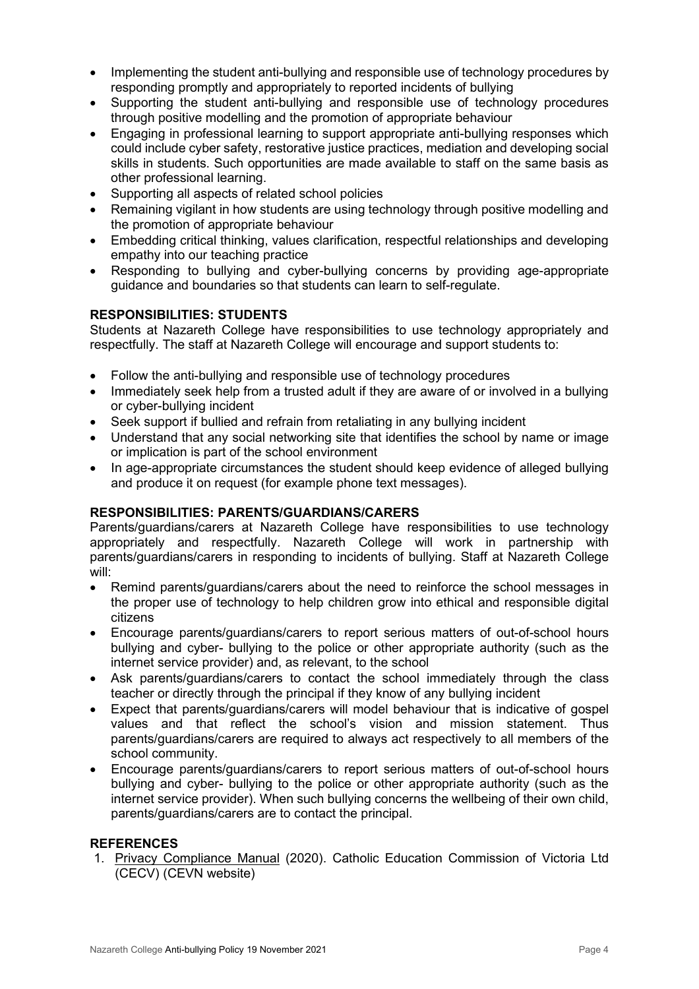- Implementing the student anti-bullying and responsible use of technology procedures by responding promptly and appropriately to reported incidents of bullying
- Supporting the student anti-bullying and responsible use of technology procedures through positive modelling and the promotion of appropriate behaviour
- Engaging in professional learning to support appropriate anti-bullying responses which could include cyber safety, restorative justice practices, mediation and developing social skills in students. Such opportunities are made available to staff on the same basis as other professional learning.
- Supporting all aspects of related school policies
- Remaining vigilant in how students are using technology through positive modelling and the promotion of appropriate behaviour
- Embedding critical thinking, values clarification, respectful relationships and developing empathy into our teaching practice
- Responding to bullying and cyber-bullying concerns by providing age-appropriate guidance and boundaries so that students can learn to self-regulate.

## **RESPONSIBILITIES: STUDENTS**

Students at Nazareth College have responsibilities to use technology appropriately and respectfully. The staff at Nazareth College will encourage and support students to:

- Follow the anti-bullying and responsible use of technology procedures
- Immediately seek help from a trusted adult if they are aware of or involved in a bullying or cyber-bullying incident
- Seek support if bullied and refrain from retaliating in any bullying incident
- Understand that any social networking site that identifies the school by name or image or implication is part of the school environment
- In age-appropriate circumstances the student should keep evidence of alleged bullying and produce it on request (for example phone text messages).

### **RESPONSIBILITIES: PARENTS/GUARDIANS/CARERS**

Parents/guardians/carers at Nazareth College have responsibilities to use technology appropriately and respectfully. Nazareth College will work in partnership with parents/guardians/carers in responding to incidents of bullying. Staff at Nazareth College will:

- Remind parents/guardians/carers about the need to reinforce the school messages in the proper use of technology to help children grow into ethical and responsible digital citizens
- Encourage parents/guardians/carers to report serious matters of out-of-school hours bullying and cyber- bullying to the police or other appropriate authority (such as the internet service provider) and, as relevant, to the school
- Ask parents/guardians/carers to contact the school immediately through the class teacher or directly through the principal if they know of any bullying incident
- Expect that parents/guardians/carers will model behaviour that is indicative of gospel values and that reflect the school's vision and mission statement. Thus parents/guardians/carers are required to always act respectively to all members of the school community.
- Encourage parents/guardians/carers to report serious matters of out-of-school hours bullying and cyber- bullying to the police or other appropriate authority (such as the internet service provider). When such bullying concerns the wellbeing of their own child, parents/guardians/carers are to contact the principal.

### **REFERENCES**

1. [Privacy Compliance Manual](https://cevn.cecv.catholic.edu.au/Melb/Document-File/Polices-Compliance-and-Legal/Privacy/Privacy-Compliance-Manual.aspx) (2020). Catholic Education Commission of Victoria Ltd (CECV) (CEVN website)